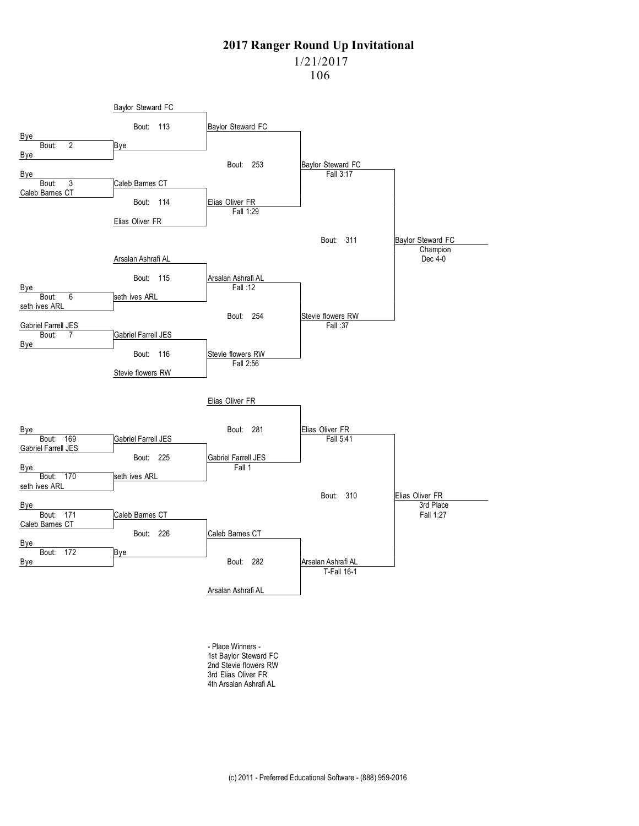1/21/2017

106



- Place Winners - 1st Baylor Steward FC 2nd Stevie flowers RW 3rd Elias Oliver FR 4th Arsalan Ashrafi AL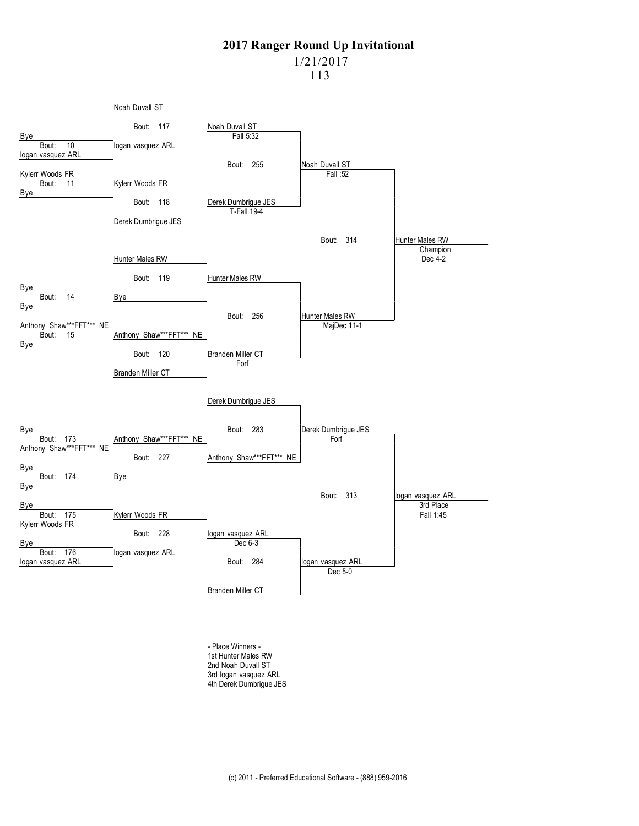113



- Place Winners - 1st Hunter Males RW 2nd Noah Duvall ST 3rd logan vasquez ARL 4th Derek Dumbrigue JES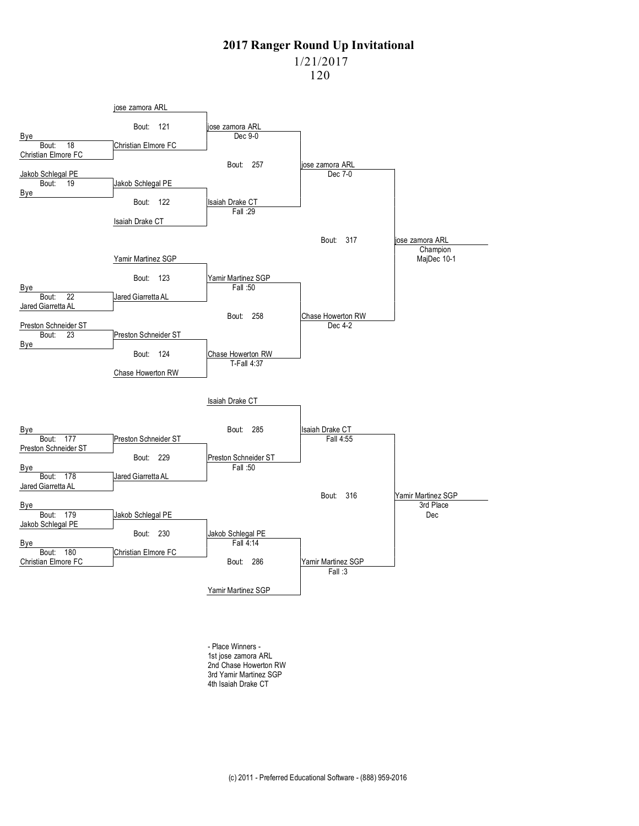1/21/2017

120



- Place Winners - 1st jose zamora ARL 2nd Chase Howerton RW 3rd Yamir Martinez SGP 4th Isaiah Drake CT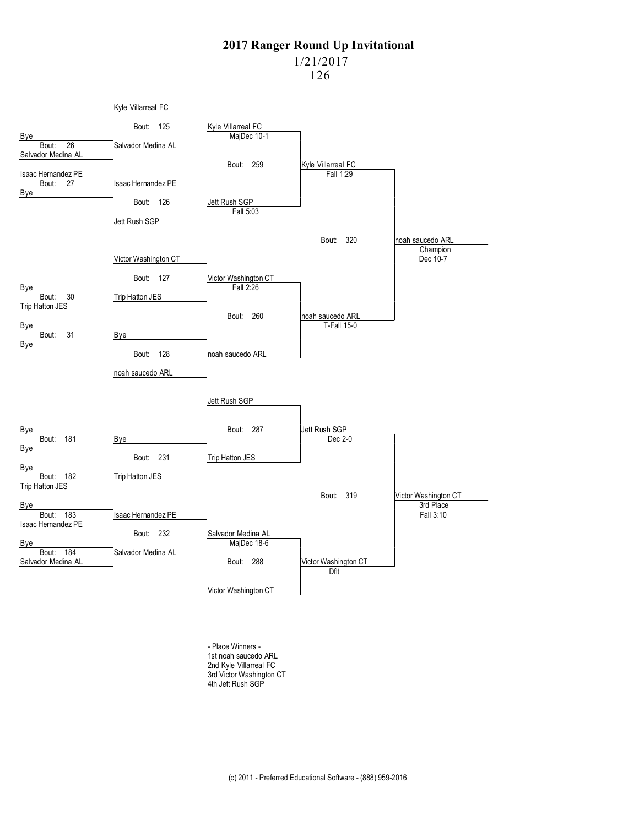1/21/2017

126



- Place Winners - 1st noah saucedo ARL 2nd Kyle Villarreal FC 3rd Victor Washington CT 4th Jett Rush SGP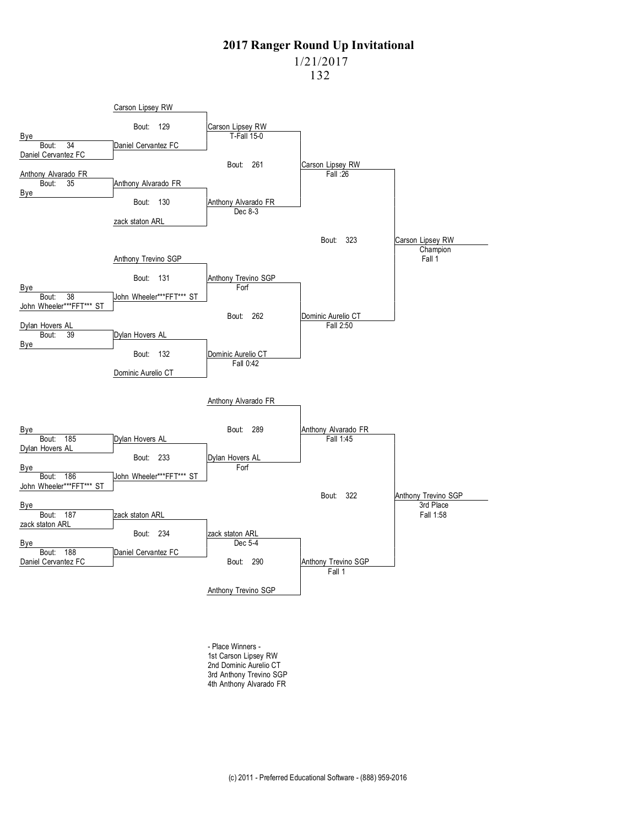1/21/2017

132



- Place Winners - 1st Carson Lipsey RW 2nd Dominic Aurelio CT 3rd Anthony Trevino SGP 4th Anthony Alvarado FR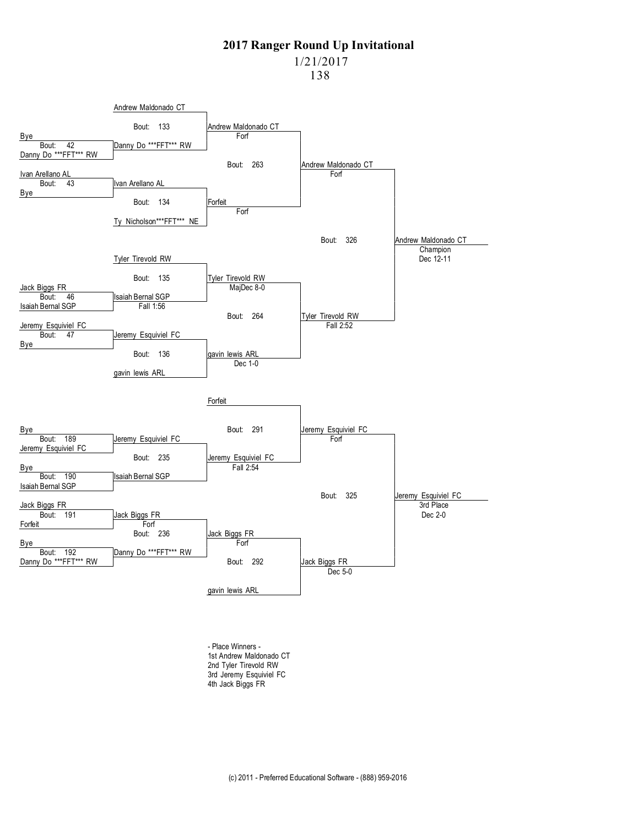1/21/2017

138



- Place Winners - 1st Andrew Maldonado CT 2nd Tyler Tirevold RW 3rd Jeremy Esquiviel FC 4th Jack Biggs FR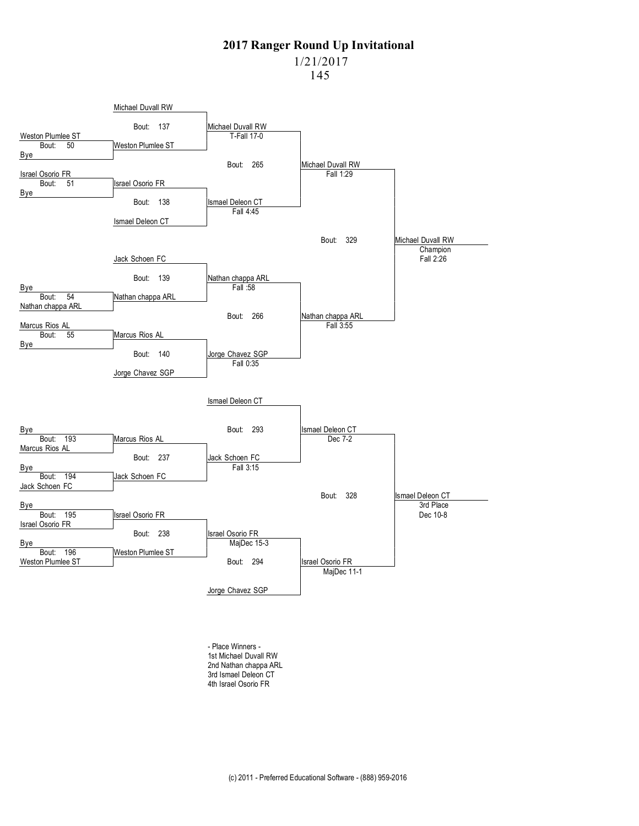1/21/2017

145



- Place Winners - 1st Michael Duvall RW 2nd Nathan chappa ARL 3rd Ismael Deleon CT 4th Israel Osorio FR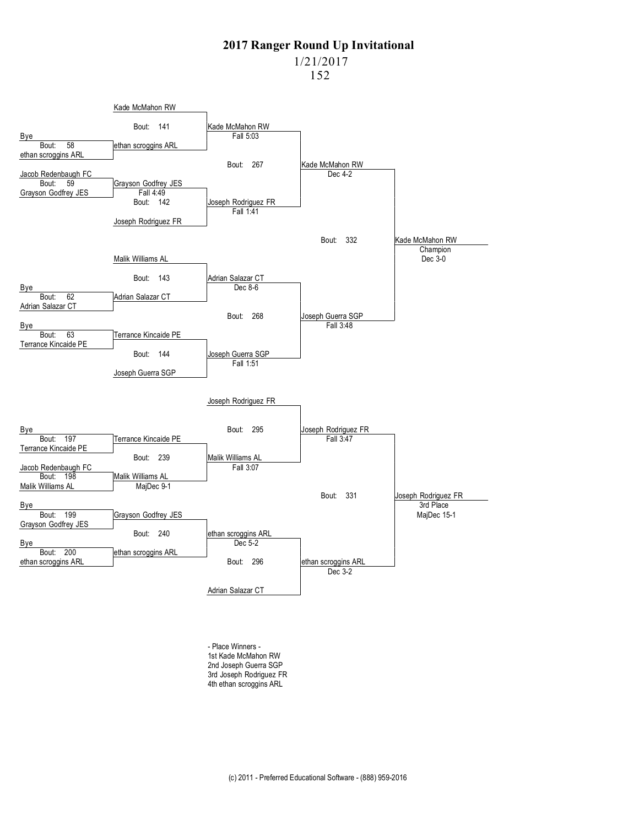1/21/2017

152



- Place Winners - 1st Kade McMahon RW 2nd Joseph Guerra SGP 3rd Joseph Rodriguez FR 4th ethan scroggins ARL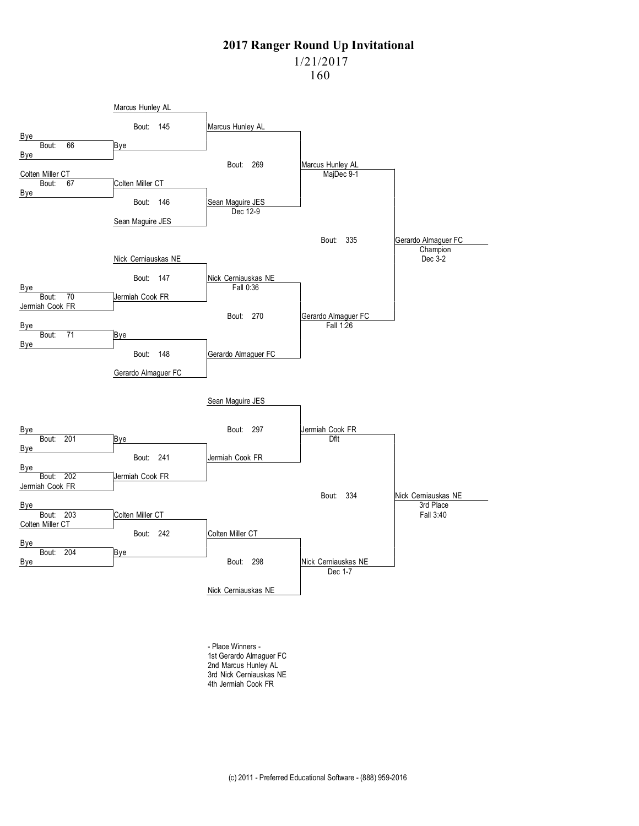1/21/2017

160



- Place Winners - 1st Gerardo Almaguer FC 2nd Marcus Hunley AL 3rd Nick Cerniauskas NE 4th Jermiah Cook FR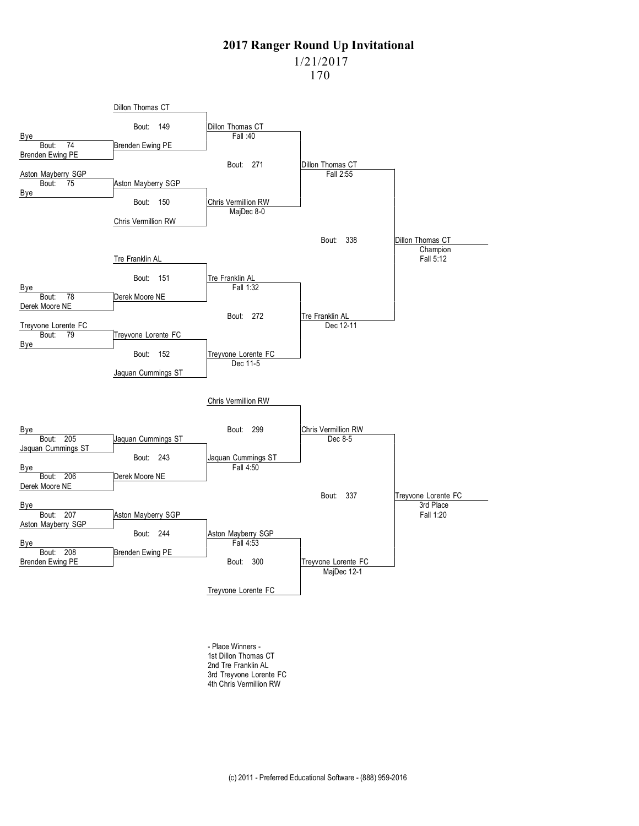1/21/2017

170



- Place Winners - 1st Dillon Thomas CT 2nd Tre Franklin AL 3rd Treyvone Lorente FC 4th Chris Vermillion RW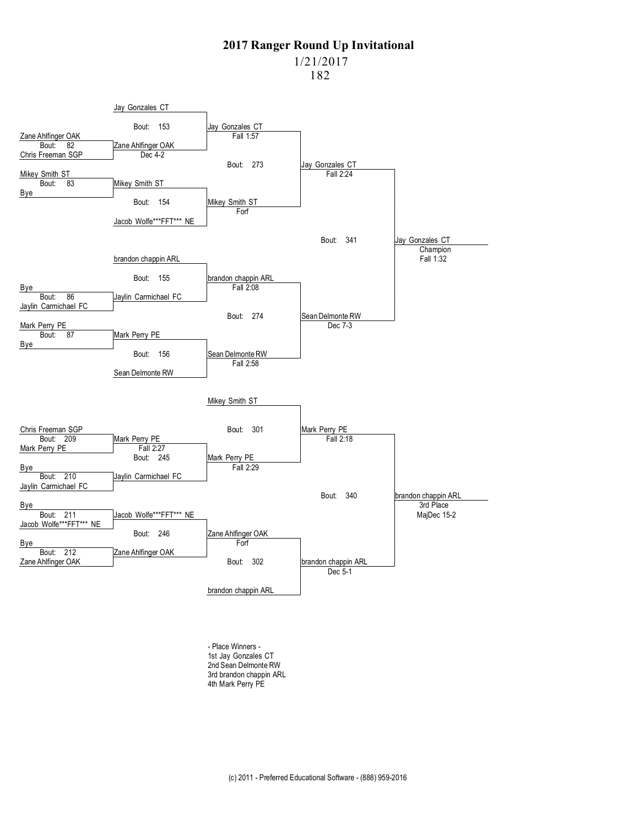1/21/2017

182



- Place Winners - 1st Jay Gonzales CT 2nd Sean Delmonte RW 3rd brandon chappin ARL 4th Mark Perry PE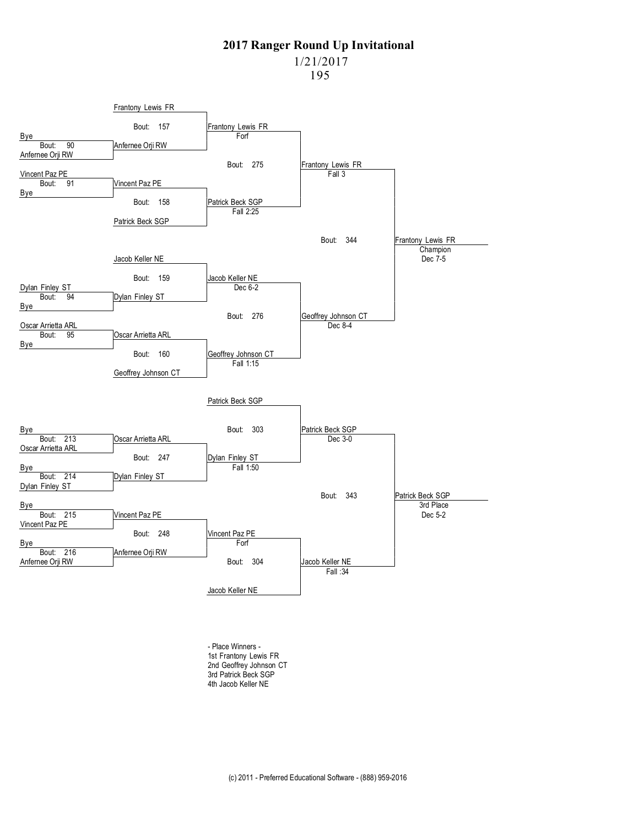1/21/2017

195



- Place Winners - 1st Frantony Lewis FR 2nd Geoffrey Johnson CT 3rd Patrick Beck SGP 4th Jacob Keller NE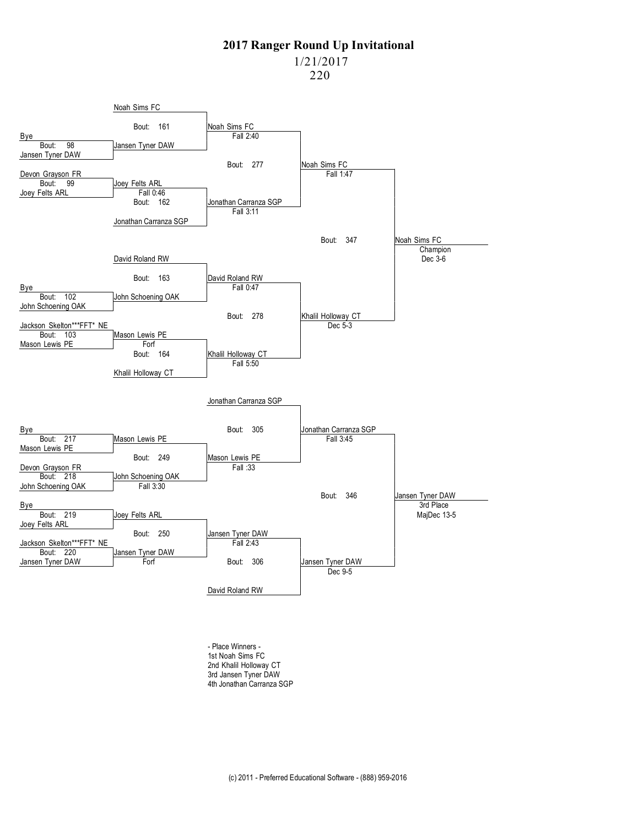1/21/2017

220



- Place Winners - 1st Noah Sims FC 2nd Khalil Holloway CT 3rd Jansen Tyner DAW 4th Jonathan Carranza SGP